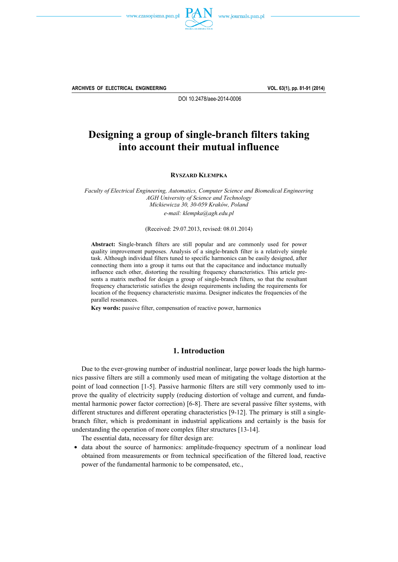



**ARCHIVES OF ELECTRICAL ENGINEERING VOL. 63(1), pp. 81-91 (2014)**

DOI 10.2478/aee-2014-0006

# **Designing a group of single-branch filters taking into account their mutual influence**

**RYSZARD KLEMPKA**

*Faculty of Electrical Engineering, Automatics, Computer Science and Biomedical Engineering AGH University of Science and Technology Mickiewicza 30, 30-059 Kraków, Poland e-mail: klempka@agh.edu.pl* 

(Received: 29.07.2013, revised: 08.01.2014)

**Abstract:** Single-branch filters are still popular and are commonly used for power quality improvement purposes. Analysis of a single-branch filter is a relatively simple task. Although individual filters tuned to specific harmonics can be easily designed, after connecting them into a group it turns out that the capacitance and inductance mutually influence each other, distorting the resulting frequency characteristics. This article presents a matrix method for design a group of single-branch filters, so that the resultant frequency characteristic satisfies the design requirements including the requirements for location of the frequency characteristic maxima. Designer indicates the frequencies of the parallel resonances.

**Key words:** passive filter, compensation of reactive power, harmonics

#### **1. Introduction**

 Due to the ever-growing number of industrial nonlinear, large power loads the high harmonics passive filters are still a commonly used mean of mitigating the voltage distortion at the point of load connection [1-5]. Passive harmonic filters are still very commonly used to improve the quality of electricity supply (reducing distortion of voltage and current, and fundamental harmonic power factor correction) [6-8]. There are several passive filter systems, with different structures and different operating characteristics [9-12]. The primary is still a singlebranch filter, which is predominant in industrial applications and certainly is the basis for understanding the operation of more complex filter structures [13-14].

The essential data, necessary for filter design are:

• data about the source of harmonics: amplitude-frequency spectrum of a nonlinear load obtained from measurements or from technical specification of the filtered load, reactive power of the fundamental harmonic to be compensated, etc.,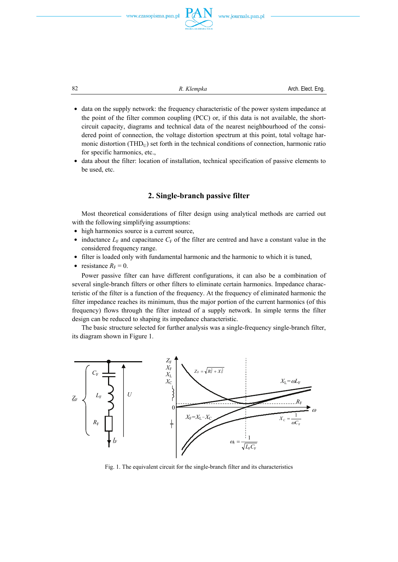



82 **R.** *Klempka* **Arch.** Elect. Eng.

- data on the supply network: the frequency characteristic of the power system impedance at the point of the filter common coupling (PCC) or, if this data is not available, the shortcircuit capacity, diagrams and technical data of the nearest neighbourhood of the considered point of connection, the voltage distortion spectrum at this point, total voltage harmonic distortion (THD $_{\text{U}}$ ) set forth in the technical conditions of connection, harmonic ratio for specific harmonics, etc.,
- data about the filter: location of installation, technical specification of passive elements to be used, etc.

# **2. Single-branch passive filter**

 Most theoretical considerations of filter design using analytical methods are carried out with the following simplifying assumptions:

- high harmonics source is a current source,
- $\bullet$  inductance  $L_F$  and capacitance  $C_F$  of the filter are centred and have a constant value in the considered frequency range.
- filter is loaded only with fundamental harmonic and the harmonic to which it is tuned,
- $\bullet$  resistance  $R_F = 0$ .

 Power passive filter can have different configurations, it can also be a combination of several single-branch filters or other filters to eliminate certain harmonics. Impedance characteristic of the filter is a function of the frequency. At the frequency of eliminated harmonic the filter impedance reaches its minimum, thus the major portion of the current harmonics (of this frequency) flows through the filter instead of a supply network. In simple terms the filter design can be reduced to shaping its impedance characteristic.

 The basic structure selected for further analysis was a single-frequency single-branch filter, its diagram shown in Figure 1.



Fig. 1. The equivalent circuit for the single-branch filter and its characteristics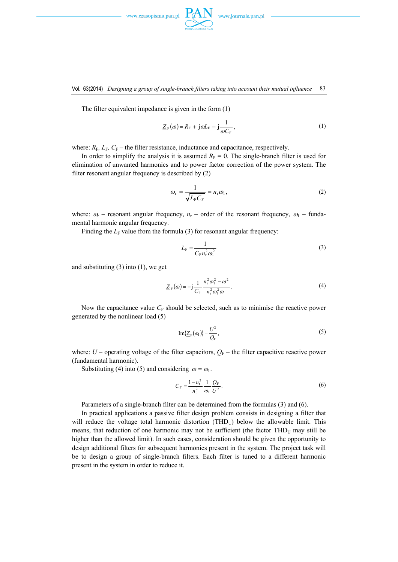



The filter equivalent impedance is given in the form (1)

$$
\underline{Z}_{\mathrm{F}}(\omega) = R_{\mathrm{F}} + j\omega L_{\mathrm{F}} - j\frac{1}{\omega C_{\mathrm{F}}},\tag{1}
$$

where:  $R_F$ ,  $L_F$ ,  $C_F$  – the filter resistance, inductance and capacitance, respectively.

In order to simplify the analysis it is assumed  $R_F = 0$ . The single-branch filter is used for elimination of unwanted harmonics and to power factor correction of the power system. The filter resonant angular frequency is described by (2)

$$
\omega_{\rm r} = \frac{1}{\sqrt{L_{\rm F}C_{\rm F}}} = n_{\rm r}\omega_{\rm l},\tag{2}
$$

where:  $\omega_r$  – resonant angular frequency,  $n_r$  – order of the resonant frequency,  $\omega_1$  – fundamental harmonic angular frequency.

Finding the  $L_F$  value from the formula (3) for resonant angular frequency:

$$
L_{\rm F} = \frac{1}{C_{\rm F} n_{\rm r}^2 \omega_{\rm l}^2} \tag{3}
$$

and substituting  $(3)$  into  $(1)$ , we get

$$
\underline{Z}_{\rm F}(\omega) = -j \frac{1}{C_{\rm F}} \frac{n_{\rm r}^2 \omega_1^2 - \omega^2}{n_{\rm r}^2 \omega_1^2 \omega}.
$$
 (4)

Now the capacitance value  $C_F$  should be selected, such as to minimise the reactive power generated by the nonlinear load (5)

$$
\operatorname{Im}\{\underline{Z}_{\mathrm{F}}(\omega_{\mathrm{I}})\}=\frac{U^2}{Q_{\mathrm{F}}},\tag{5}
$$

where:  $U$  – operating voltage of the filter capacitors,  $Q_F$  – the filter capacitive reactive power (fundamental harmonic).

Substituting (4) into (5) and considering  $\omega = \omega_1$ .

$$
C_{\rm F} = \frac{1 - n_{\rm r}^2}{n_{\rm r}^2} \frac{1}{\omega_1} \frac{Q_{\rm F}}{U^2}.
$$
 (6)

Parameters of a single-branch filter can be determined from the formulas (3) and (6).

 In practical applications a passive filter design problem consists in designing a filter that will reduce the voltage total harmonic distortion  $(THD<sub>U</sub>)$  below the allowable limit. This means, that reduction of one harmonic may not be sufficient (the factor  $THD<sub>U</sub>$  may still be higher than the allowed limit). In such cases, consideration should be given the opportunity to design additional filters for subsequent harmonics present in the system. The project task will be to design a group of single-branch filters. Each filter is tuned to a different harmonic present in the system in order to reduce it.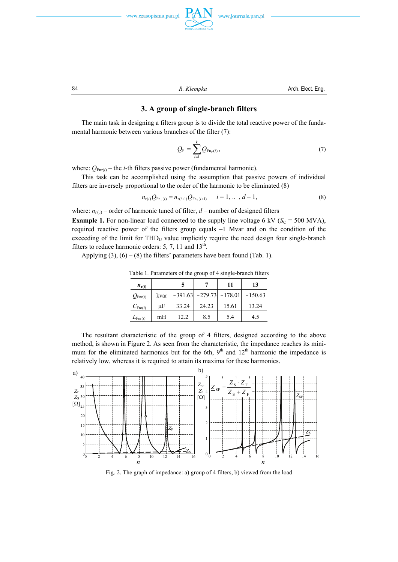





84 **R.** Klempka **B.** Arch. Elect. Eng.

#### **3. A group of single-branch filters**

 The main task in designing a filters group is to divide the total reactive power of the fundamental harmonic between various branches of the filter (7):

$$
Q_{\rm F} = \sum_{i=1}^{k} Q_{\rm Fn_{\rm r}(i)},\tag{7}
$$

where:  $Q_{\text{Fnr}(i)}$  – the *i*-th filters passive power (fundamental harmonic).

 This task can be accomplished using the assumption that passive powers of individual filters are inversely proportional to the order of the harmonic to be eliminated (8)

$$
n_{\mathbf{r}(i)}Q_{\mathbf{F}\mathbf{n}_{\mathbf{r}}(i)} = n_{\mathbf{r}(i+1)}Q_{\mathbf{F}\mathbf{n}_{\mathbf{r}}(i+1)} \qquad i = 1, \ldots, d-1,\tag{8}
$$

where:  $n_{r(i)}$  – order of harmonic tuned of filter,  $d$  – number of designed filters

**Example 1.** For non-linear load connected to the supply line voltage 6 kV ( $S_C$  = 500 MVA), required reactive power of the filters group equals –1 Mvar and on the condition of the exceeding of the limit for  $THD_U$  value implicitly require the need design four single-branch filters to reduce harmonic orders:  $5, 7, 11$  and  $13<sup>th</sup>$ .

Applying  $(3)$ ,  $(6) - (8)$  the filters' parameters have been found (Tab. 1).

| $n_{\rm r(i)}$      |      | 5     |                               | 11    | 13        |
|---------------------|------|-------|-------------------------------|-------|-----------|
| $Q_{\text{Fnr}(i)}$ | kvar |       | $-391.63$ $-279.73$ $-178.01$ |       | $-150.63$ |
| $C_{\text{Fnr}(i)}$ | μF   | 33.24 | 24.23                         | 15.61 | 13.24     |
| $L_{\text{Fnr}(i)}$ | mH   | 12.2  | 8.5                           | 5.4   | 4.5       |

Table 1. Parameters of the group of 4 single-branch filters

 The resultant characteristic of the group of 4 filters, designed according to the above method, is shown in Figure 2. As seen from the characteristic, the impedance reaches its minimum for the eliminated harmonics but for the 6th,  $9<sup>th</sup>$  and  $12<sup>th</sup>$  harmonic the impedance is relatively low, whereas it is required to attain its maxima for these harmonics.



Fig. 2. The graph of impedance: a) group of 4 filters, b) viewed from the load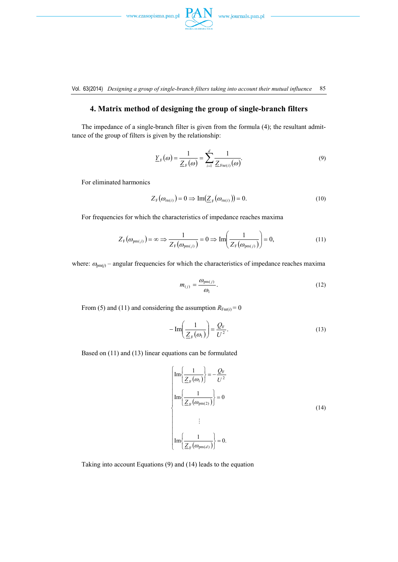$\hspace{0.05cm}\textit{www.czasopisma.pan.pl}\hspace{0.05cm}$ 



Vol. 63(2014) *Designing a group of single-branch filters taking into account their mutual influence* 85

# **4. Matrix method of designing the group of single-branch filters**

 The impedance of a single-branch filter is given from the formula (4); the resultant admittance of the group of filters is given by the relationship:

$$
\underline{Y}_{\mathrm{F}}(\omega) = \frac{1}{\underline{Z}_{\mathrm{F}}(\omega)} = \sum_{i=1}^{d} \frac{1}{\underline{Z}_{\mathrm{Fnr}(i)}(\omega)}.
$$
\n(9)

For eliminated harmonics

$$
Z_{\mathrm{F}}(\omega_{\mathrm{m}(i)}) = 0 \Rightarrow \mathrm{Im}(\underline{Z}_{\mathrm{F}}(\omega_{\mathrm{m}(i)})) = 0. \tag{10}
$$

For frequencies for which the characteristics of impedance reaches maxima

$$
Z_{\rm F}(\omega_{\rm pm(j)}) = \infty \Longrightarrow \frac{1}{Z_{\rm F}(\omega_{\rm pm(j)})} = 0 \Longrightarrow \text{Im}\left(\frac{1}{Z_{\rm F}(\omega_{\rm pm(j)})}\right) = 0,\tag{11}
$$

where:  $\omega_{pm(i)}$  – angular frequencies for which the characteristics of impedance reaches maxima

$$
m_{(j)} = \frac{\omega_{pm(j)}}{\omega_1}.
$$
 (12)

From (5) and (11) and considering the assumption  $R_{\text{Fnr}(i)} = 0$ 

$$
-\operatorname{Im}\left(\frac{1}{\underline{Z}_{\mathrm{F}}(\omega_{1})}\right) = \frac{\underline{Q}_{\mathrm{F}}}{U^{2}}.
$$
\n(13)

Based on (11) and (13) linear equations can be formulated

$$
\left\{\begin{aligned}\n\text{Im}\left\{\frac{1}{\underline{Z}_{F}(\omega_{1})}\right\} &= -\frac{\underline{Q}_{F}}{U^{2}} \\
\text{Im}\left\{\frac{1}{\underline{Z}_{F}(\omega_{pm(2)})}\right\} &= 0 \\
&\vdots \\
\text{Im}\left\{\frac{1}{\underline{Z}_{F}(\omega_{pm(d)})}\right\} &= 0.\n\end{aligned}\right.\n\tag{14}
$$

Taking into account Equations (9) and (14) leads to the equation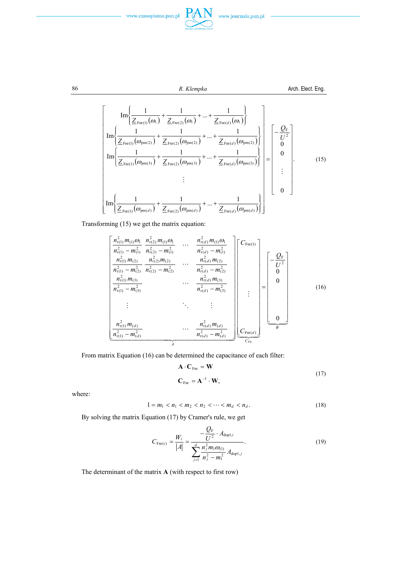



86 **R.** *Klempka* **R.** *Klempka* **Arch. Elect. Eng.** 

$$
\left[\begin{array}{c}\n\text{Im}\left\{\frac{1}{\underline{Z}_{\text{Fnr}(1)}(\omega_{1})} + \frac{1}{\underline{Z}_{\text{Fnr}(2)}(\omega_{1})} + \dots + \frac{1}{\underline{Z}_{\text{Fnr}(d)}(\omega_{1})}\right\} \\
\text{Im}\left\{\frac{1}{\underline{Z}_{\text{Fnr}(1)}(\omega_{\text{pm}(2)})} + \frac{1}{\underline{Z}_{\text{Fnr}(2)}(\omega_{\text{pm}(2)})} + \dots + \frac{1}{\underline{Z}_{\text{Fnr}(d)}(\omega_{\text{pm}(2)})}\right\} \\
\text{Im}\left\{\frac{1}{\underline{Z}_{\text{Fnr}(1)}(\omega_{\text{pm}(3)})} + \frac{1}{\underline{Z}_{\text{Fnr}(2)}(\omega_{\text{pm}(3)})} + \dots + \frac{1}{\underline{Z}_{\text{Fnr}(d)}(\omega_{\text{pm}(3)})}\right\} \\
\vdots \\
\text{Im}\left\{\frac{1}{\underline{Z}_{\text{Fnr}(1)}(\omega_{\text{pm}(d)})} + \frac{1}{\underline{Z}_{\text{Fnr}(2)}(\omega_{\text{pm}(d)})} + \dots + \frac{1}{\underline{Z}_{\text{Fnr}(d)}(\omega_{\text{pm}(d)})}\right\}\n\end{array} \tag{15}
$$

Transforming (15) we get the matrix equation:

$$
\begin{bmatrix}\n\frac{n_{r(1)}^2 m_{(1)} \omega_1}{n_{r(1)}^2 - m_{(1)}^2} & \frac{n_{r(2)}^2 m_{(1)} \omega_1}{n_{r(2)}^2 - m_{(1)}^2} & \cdots & \frac{n_{r(d)}^2 m_{(1)} \omega_1}{n_{r(d)}^2 - m_{(1)}^2} \\
\frac{n_{r(1)}^2 m_{(2)}}{n_{r(1)}^2 - m_{(2)}^2} & \frac{n_{r(2)}^2 m_{(2)}}{n_{r(2)}^2 - m_{(2)}^2} & \cdots & \frac{n_{r(d)}^2 m_{(2)}}{n_{r(d)}^2 - m_{(2)}^2} \\
\frac{n_{r(1)}^2 m_{(3)}}{n_{r(1)}^2 - m_{(3)}^2} & \cdots & \frac{n_{r(d)}^2 m_{(3)}}{n_{r(d)}^2 - m_{(3)}^2} \\
\vdots & \ddots & \vdots \\
\frac{n_{r(1)}^2 m_{(d)}}{n_{r(1)}^2 - m_{(d)}^2} & \cdots & \frac{n_{r(d)}^2 m_{(d)}}{n_{r(d)}^2 - m_{(d)}^2}\n\end{bmatrix}\n\begin{bmatrix}\nC_{\text{Fn}(1)} \\
C_{\text{Fn}(2)} \\
0 \\
\vdots \\
0 \\
0\n\end{bmatrix} = \begin{bmatrix}\n\frac{Q_F}{U^2} \\
0 \\
0 \\
0 \\
0 \\
\vdots \\
0\n\end{bmatrix}
$$
\n(16)

From matrix Equation (16) can be determined the capacitance of each filter:

$$
\mathbf{A} \cdot \mathbf{C}_{\text{Fnr}} = \mathbf{W}
$$
  

$$
\mathbf{C}_{\text{Fnr}} = \mathbf{A}^{-1} \cdot \mathbf{W},
$$
 (17)

where:

$$
1 = m_1 < n_1 < m_2 < n_2 < \cdots < m_d < n_d. \tag{18}
$$

By solving the matrix Equation (17) by Cramer's rule, we get

$$
C_{\text{Fnr}(i)} = \frac{W_i}{|A|} = \frac{-\frac{Q_{\text{F}}}{U^2} \cdot A_{\text{dop1},i}}{\sum_{j=1}^{d} \frac{n_j^2 m_1 \omega_{(1)}}{n_j^2 - m_1^2} A_{\text{dop1},j}}.
$$
(19)

The determinant of the matrix **A** (with respect to first row)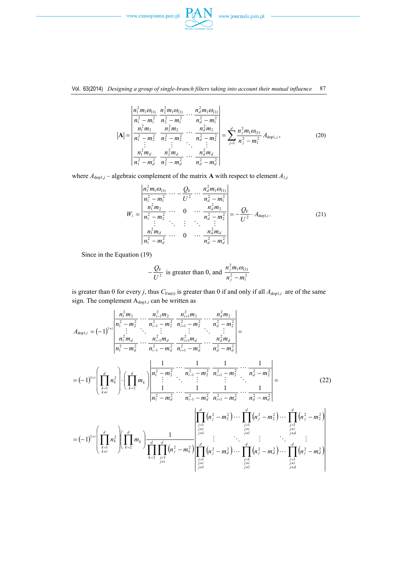

#### Vol. 63(2014) *Designing a group of single-branch filters taking into account their mutual influence* 87

$$
|\mathbf{A}| = \begin{vmatrix} \frac{n_1^2 m_1 \omega_{(1)}}{n_1^2 - m_1^2} & \frac{n_2^2 m_1 \omega_{(1)}}{n_2^2 - m_1^2} & \cdots & \frac{n_d^2 m_1 \omega_{(1)}}{n_d^2 - m_1^2} \\ \frac{n_1^2 m_2}{n_1^2 - m_2^2} & \frac{n_2^2 m_2}{n_2^2 - m_2^2} & \cdots & \frac{n_d^2 m_2}{n_d^2 - m_2^2} \\ \vdots & \vdots & \ddots & \vdots \\ \frac{n_1^2 m_d}{n_1^2 - m_d^2} & \frac{n_2^2 m_d}{n_2^2 - m_d^2} & \cdots & \frac{n_d^2 m_d}{n_d^2 - m_d^2} \end{vmatrix} = \sum_{j=1}^d \frac{n_j^2 m_1 \omega_{(1)}}{n_j^2 - m_1^2} A_{\text{dop1},j}, \qquad (20)
$$

where  $A_{\text{dop1}j}$  – algebraic complement of the matrix **A** with respect to element  $A_{1j}$ 

$$
W_{i} = \frac{\begin{vmatrix} n_{1}^{2}m_{1}\omega_{(1)} & \cdots & \frac{Q_{F}}{U^{2}} & \cdots & \frac{n_{d}^{2}m_{1}\omega_{(1)}}{n_{d}^{2}-m_{1}^{2}} \\ \frac{n_{1}^{2}m_{2}}{n_{1}^{2}-m_{2}^{2}} & \cdots & 0 & \cdots & \frac{n_{d}^{2}m_{2}}{n_{d}^{2}-m_{2}^{2}} \\ \vdots & \ddots & \vdots & \ddots & \vdots \\ \frac{n_{1}^{2}m_{d}}{n_{1}^{2}-m_{d}^{2}} & \cdots & 0 & \cdots & \frac{n_{d}^{2}m_{d}}{n_{d}^{2}-m_{d}^{2}} \end{vmatrix}} = -\frac{Q_{F}}{U^{2}} \cdot A_{\text{dop1},i}.
$$
 (21)

Since in the Equation (19)

$$
-\frac{Q_{\rm F}}{U^2}
$$
 is greater than 0, and 
$$
\frac{n_j^2 m_1 \omega_{(1)}}{n_j^2 - m_1^2}
$$

is greater than 0 for every *j*, thus  $C_{\text{Fnr}(i)}$  is greater than 0 if and only if all  $A_{\text{dop1},i}$  are of the same sign. The complement Adop1,*i* can be written as

$$
A_{\text{dop1},i} = (-1)^{1+i} \left| \frac{n_1^2 m_2}{n_1^2 - m_2^2} \cdots \frac{n_{i-1}^2 m_2}{n_{i-1}^2 - m_2^2} \frac{n_{i+1}^2 m_2}{n_{i+1}^2 - m_2^2} \cdots \frac{n_d^2 m_2}{n_d^2 - m_2^2} \right|
$$
\n
$$
= (-1)^{1+i} \left( \prod_{\substack{k=1 \ k \neq i}}^d n_k^2 \right) \cdot \left( \prod_{k=2}^d m_k \right) \frac{1}{n_1^2 - m_d^2} \cdots \frac{1}{n_{i+1}^2 - m_d^2} \frac{1}{n_{i+1}^2 - m_d^2} \cdots \frac{1}{n_d^2 - m_d^2} \right) = (-1)^{1+i} \left( \prod_{\substack{k=1 \ k \neq i}}^d n_k^2 \right) \cdot \left( \prod_{k=2}^d m_k \right) \frac{1}{n_1^2 - m_2^2} \cdots \frac{1}{n_{i-1}^2 - m_2^2} \frac{1}{n_{i+1}^2 - m_2^2} \cdots \frac{1}{n_d^2 - m_d^2} \right) = (-1)^{1+i} \left( \prod_{\substack{k=1 \ k \neq i}}^d n_k^2 \right) \cdot \left( \prod_{k=2}^d m_k \right) \frac{1}{n_1^2 - m_d^2} \cdots \frac{1}{n_{i-1}^2 - m_d^2} \frac{1}{n_{i+1}^2 - m_d^2} \cdots \frac{1}{n_d^2 - m_d^2} \right) = (-1)^{1+i} \left( \prod_{\substack{k=1 \ k \neq i}}^d n_k^2 \right) \left( \prod_{\substack{k=2 \ k \neq i}}^d m_k \right) \frac{1}{\prod_{\substack{j=1 \ j \neq i}}^d (n_j^2 - m_k^2)} \right) \cdot \prod_{\substack{j=1 \ j \neq i}}^d (n_j^2 - m_d^2) \cdots \prod_{\substack{j=1 \ j \neq i}}^d (n_j^2 - m_d^2) \cdots \prod_{\substack{j=1 \ j \neq i}}^d (n_j^2 - m_d^2) \cdots \prod_{\substack{j=1 \ j \neq i}}^
$$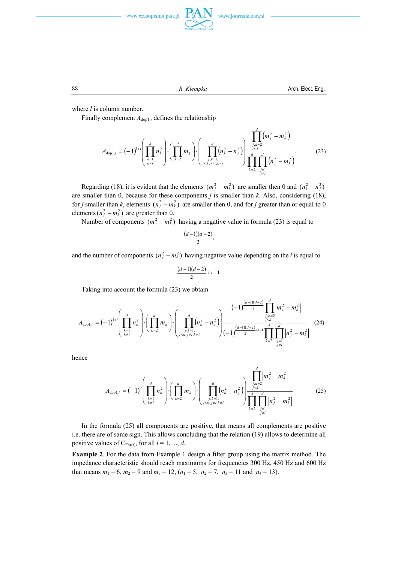





where *l* is column number.

Finally complement  $A_{\text{dop1},i}$  defines the relationship

$$
A_{\text{dop1},i} = (-1)^{1+i} \left( \prod_{\substack{k=1 \ k \neq i}}^d n_k^2 \right) \cdot \left( \prod_{k=2}^d m_k \right) \cdot \left( \prod_{\substack{j,k=1 \ j \leq k, j \neq i, k \neq i}}^d \left( n_k^2 - n_j^2 \right) \right) \frac{\prod_{\substack{j,k=2 \ j \leq k}}^d \left( m_j^2 - m_k^2 \right)}{\prod_{\substack{j=1 \ k \neq j}}^d \left( n_j^2 - m_k^2 \right)}.
$$
(23)

Regarding (18), it is evident that the elements  $(m_j^2 - m_k^2)$  are smaller then 0 and  $(n_k^2 - n_j^2)$ are smaller then 0, because for these components *j* is smaller than *k*. Also, considering (18), for *j* smaller than *k*, elements  $(n_j^2 - m_k^2)$  are smaller then 0, and for *j* greater than or equal to 0 elements  $(n_j^2 - m_k^2)$  are greater than 0.

Number of components  $(m_i^2 - m_k^2)$  having a negative value in formula (23) is equal to

$$
\frac{(d-1)(d-2)}{2},
$$

and the number of components  $(n_i^2 - m_k^2)$  having negative value depending on the *i* is equal to

$$
\frac{(d-1)(d-2)}{2}+i-1.
$$

Taking into account the formula (23) we obtain

$$
A_{\text{dop1},i} = (-1)^{1+i} \left( \prod_{\substack{k=1 \ k \neq i}}^d n_k^2 \right) \cdot \left( \prod_{\substack{l=2 \ k \neq i}}^d m_k \right) \cdot \left( \prod_{\substack{j,k=1 \ j \leq k,j \neq i,k \neq i}}^d \left( n_k^2 - n_j^2 \right) \right) \frac{(-1)^{\frac{(d-1)(d-2)}{2}} \prod_{\substack{j,k=2 \ j \leq k}}^d m_j^2 - m_k^2}{(-1)^{\frac{(d-1)(d-2)}{2}+i-1} \prod_{\substack{k=2 \ j \neq i}}^d \left| m_j^2 - m_k^2 \right|} \tag{24}
$$

hence

$$
A_{\text{dop1},i} = (-1)^2 \left( \prod_{\substack{k=1 \ k \neq i}}^d n_k^2 \right) \cdot \left( \prod_{k=2}^d m_k \right) \cdot \left( \prod_{\substack{j,k=1 \ j \leq k, j \neq i, k \neq i}}^d \left( n_k^2 - n_j^2 \right) \right) \frac{\prod_{\substack{j,k=2 \ j \leq k}}^d \left| m_j^2 - m_k^2 \right|}{\prod_{\substack{j=1 \ k \neq j}}^d \left| n_j^2 - m_k^2 \right|} \tag{25}
$$

 In the formula (25) all components are positive, that means all complements are positive i.e. there are of same sign. This allows concluding that the relation (19) allows to determine all positive values of  $C_{\text{Fn}(i)}$ , for all  $i = 1, ..., d$ .

**Example 2**. For the data from Example 1 design a filter group using the matrix method. The impedance characteristic should reach maximums for frequencies 300 Hz, 450 Hz and 600 Hz that means  $m_1 = 6$ ,  $m_2 = 9$  and  $m_3 = 12$ ,  $(n_1 = 5, n_2 = 7, n_3 = 11$  and  $n_4 = 13$ ).

88 **R. Klempka**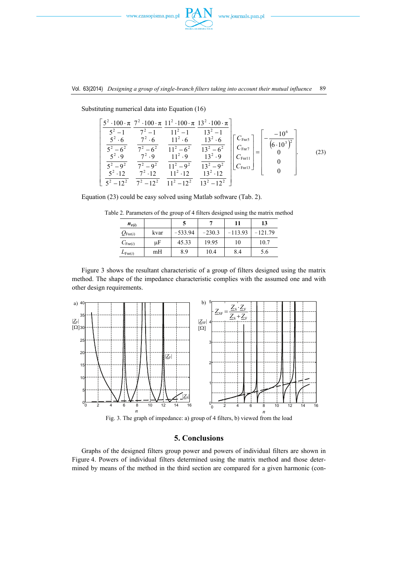



|               |                                                               | $5^2 \cdot 100 \cdot \pi$ $7^2 \cdot 100 \cdot \pi$ $11^2 \cdot 100 \cdot \pi$ $13^2 \cdot 100 \cdot \pi$                                                                                                                                                                                                                                  |  |  |
|---------------|---------------------------------------------------------------|--------------------------------------------------------------------------------------------------------------------------------------------------------------------------------------------------------------------------------------------------------------------------------------------------------------------------------------------|--|--|
| $5^2 \cdot 9$ |                                                               | $\frac{1}{5^2-6^2}$ $\frac{1}{7^2-6^2}$ $\frac{11^2-6^2}{11^2-6^2}$ $\left  \begin{array}{c} C_{\text{Fnr7}} \\ C_{\text{Fnr7}} \end{array} \right  =$<br>$7^2 \cdot 9$ 11 <sup>2</sup> $\cdot 9$ 13 <sup>2</sup> $\cdot 9$    $C_{\text{Enrl1}}$<br>$\overline{5^2-9^2}$ $\overline{7^2-9^2}$ $\overline{11^2-9^2}$ $\overline{13^2-9^2}$ |  |  |
|               | $5^2 \cdot 12$ $7^2 \cdot 12$ $11^2 \cdot 12$ $13^2 \cdot 12$ | $5^2 - 12^2$ $7^2 - 12^2$ $11^2 - 12^2$ $13^2 - 12^2$                                                                                                                                                                                                                                                                                      |  |  |

Substituting numerical data into Equation (16)

 $\mathsf{I}$  $\mathsf I$  $\mathsf I$  $\mathsf I$  $\mathsf I$  $\mathsf I$  $\mathsf I$  $\mathsf I$  $\mathsf I$ 

 $\mathsf I$ 

⎣

Equation (23) could be easy solved using Matlab software (Tab. 2).

| $n_{\rm r(i)}$      |      |  |                                              |  |  |  |
|---------------------|------|--|----------------------------------------------|--|--|--|
| $Q_{\text{Fnr}(i)}$ | kvar |  | $-533.94$   $-230.3$   $-113.93$   $-121.79$ |  |  |  |
|                     |      |  |                                              |  |  |  |

*C*<sub>Fnr(*i*)  $\mu$ F 45.33 19.95 10 10.7</sub>  $L_{\text{Fnr}(i)}$  mH | 8.9 | 10.4 | 8.4 | 5.6

Table 2. Parameters of the group of 4 filters designed using the matrix method

 Figure 3 shows the resultant characteristic of a group of filters designed using the matrix method. The shape of the impedance characteristic complies with the assumed one and with other design requirements.



Fig. 3. The graph of impedance: a) group of 4 filters, b) viewed from the load

# **5. Conclusions**

 Graphs of the designed filters group power and powers of individual filters are shown in Figure 4. Powers of individual filters determined using the matrix method and those determined by means of the method in the third section are compared for a given harmonic (con-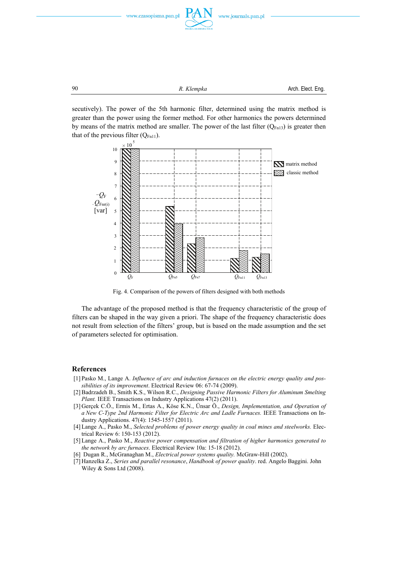

**90 R.** *Klempka* **Arch.** Elect. Eng.

secutively). The power of the 5th harmonic filter, determined using the matrix method is greater than the power using the former method. For other harmonics the powers determined by means of the matrix method are smaller. The power of the last filter  $(Q_{Fn13})$  is greater then that of the previous filter  $(Q_{Fn11})$ .



Fig. 4. Comparison of the powers of filters designed with both methods

 The advantage of the proposed method is that the frequency characteristic of the group of filters can be shaped in the way given a priori. The shape of the frequency characteristic does not result from selection of the filters' group, but is based on the made assumption and the set of parameters selected for optimisation.

#### **References**

- [1] Pasko M., Lange A. *Influence of arc and induction furnaces on the electric energy quality and possibilities of its improvement*. Electrical Review 06: 67-74 (2009).
- [2] Badrzadeh B., Smith K.S., Wilson R.C., *Designing Passive Harmonic Filters for Aluminum Smelting Plant.* IEEE Transactions on Industry Applications 47(2) (2011).
- [3] Gerçek C.Ö., Ermis M., Ertas A., Köse K.N., Ünsar Ö., *Design, Implementation, and Operation of a New C-Type 2nd Harmonic Filter for Electric Arc and Ladle Furnaces.* IEEE Transactions on Industry Applications. 47(4): 1545-1557 (2011).
- [4] Lange A., Pasko M., *Selected problems of power energy quality in coal mines and steelworks.* Electrical Review 6: 150-153 (2012).
- [5] Lange A., Pasko M., *Reactive power compensation and filtration of higher harmonics generated to the network by arc furnaces*. Electrical Review 10a: 15-18 (2012).
- [6] Dugan R., McGranaghan M., *Electrical power systems quality.* McGraw-Hill (2002).
- [7] Hanzelka Z., *Series and parallel resonance*, *Handbook of power quality*. red. Angelo Baggini. John Wiley & Sons Ltd (2008).